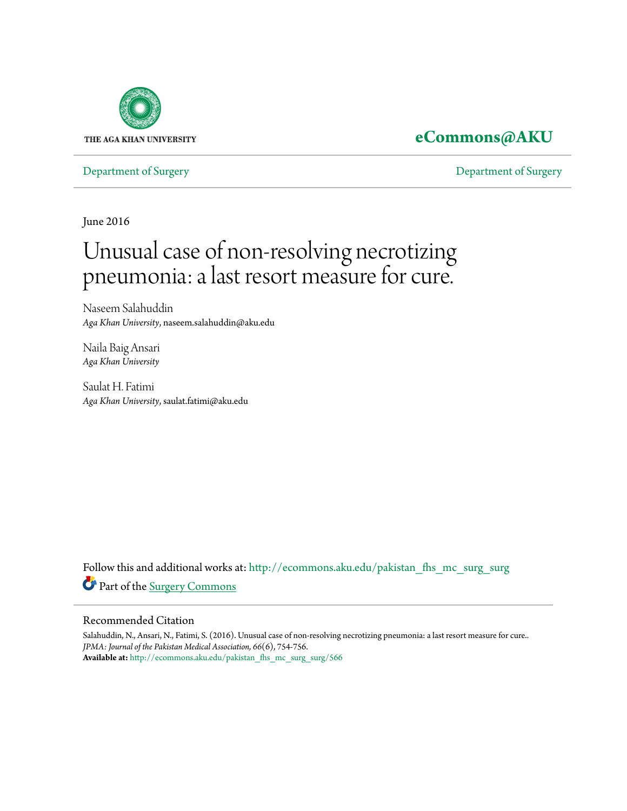

## **[eCommons@AKU](http://ecommons.aku.edu?utm_source=ecommons.aku.edu%2Fpakistan_fhs_mc_surg_surg%2F566&utm_medium=PDF&utm_campaign=PDFCoverPages)**

[Department of Surgery](http://ecommons.aku.edu/pakistan_fhs_mc_surg_surg?utm_source=ecommons.aku.edu%2Fpakistan_fhs_mc_surg_surg%2F566&utm_medium=PDF&utm_campaign=PDFCoverPages) [Department of Surgery](http://ecommons.aku.edu/pakistan_fhs_mc_surg?utm_source=ecommons.aku.edu%2Fpakistan_fhs_mc_surg_surg%2F566&utm_medium=PDF&utm_campaign=PDFCoverPages)

June 2016

# Unusual case of non-resolving necrotizing pneumonia: a last resort measure for cure.

Naseem Salahuddin *Aga Khan University*, naseem.salahuddin@aku.edu

Naila Baig Ansari *Aga Khan University*

Saulat H. Fatimi *Aga Khan University*, saulat.fatimi@aku.edu

Follow this and additional works at: [http://ecommons.aku.edu/pakistan\\_fhs\\_mc\\_surg\\_surg](http://ecommons.aku.edu/pakistan_fhs_mc_surg_surg?utm_source=ecommons.aku.edu%2Fpakistan_fhs_mc_surg_surg%2F566&utm_medium=PDF&utm_campaign=PDFCoverPages) Part of the [Surgery Commons](http://network.bepress.com/hgg/discipline/706?utm_source=ecommons.aku.edu%2Fpakistan_fhs_mc_surg_surg%2F566&utm_medium=PDF&utm_campaign=PDFCoverPages)

#### Recommended Citation

Salahuddin, N., Ansari, N., Fatimi, S. (2016). Unusual case of non-resolving necrotizing pneumonia: a last resort measure for cure.. *JPMA: Journal of the Pakistan Medical Association, 66*(6), 754-756. **Available at:** [http://ecommons.aku.edu/pakistan\\_fhs\\_mc\\_surg\\_surg/566](http://ecommons.aku.edu/pakistan_fhs_mc_surg_surg/566)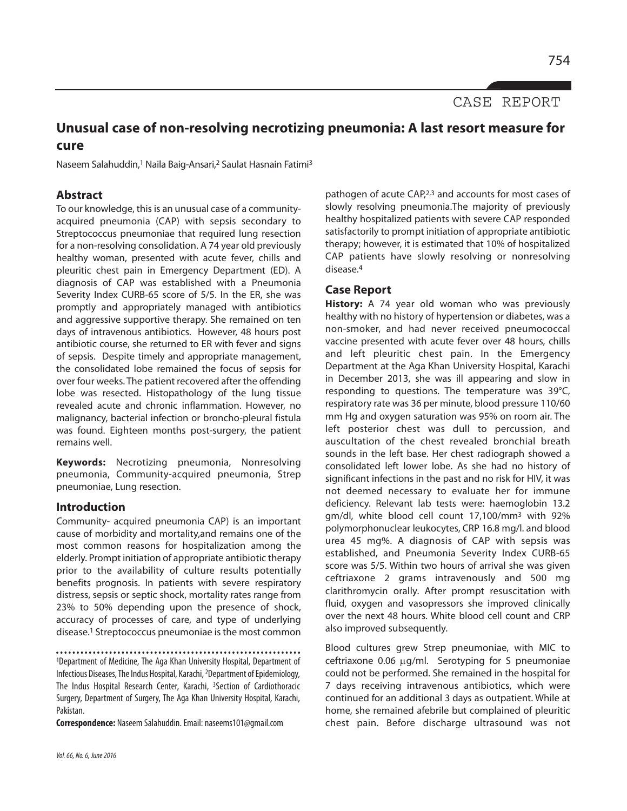CASE REPORT

### **Unusual case of non-resolving necrotizing pneumonia: A last resort measure for cure**

Naseem Salahuddin,<sup>1</sup> Naila Baig-Ansari,<sup>2</sup> Saulat Hasnain Fatimi<sup>3</sup>

#### **Abstract**

To our knowledge, this is an unusual case of a communityacquired pneumonia (CAP) with sepsis secondary to Streptococcus pneumoniae that required lung resection for a non-resolving consolidation. A 74 year old previously healthy woman, presented with acute fever, chills and pleuritic chest pain in Emergency Department (ED). A diagnosis of CAP was established with a Pneumonia Severity Index CURB-65 score of 5/5. In the ER, she was promptly and appropriately managed with antibiotics and aggressive supportive therapy. She remained on ten days of intravenous antibiotics. However, 48 hours post antibiotic course, she returned to ER with fever and signs of sepsis. Despite timely and appropriate management, the consolidated lobe remained the focus of sepsis for over four weeks. The patient recovered after the offending lobe was resected. Histopathology of the lung tissue revealed acute and chronic inflammation. However, no malignancy, bacterial infection or broncho-pleural fistula was found. Eighteen months post-surgery, the patient remains well.

**Keywords:** Necrotizing pneumonia, Nonresolving pneumonia, Community-acquired pneumonia, Strep pneumoniae, Lung resection.

#### **Introduction**

Community- acquired pneumonia CAP) is an important cause of morbidity and mortality,and remains one of the most common reasons for hospitalization among the elderly. Prompt initiation of appropriate antibiotic therapy prior to the availability of culture results potentially benefits prognosis. In patients with severe respiratory distress, sepsis or septic shock, mortality rates range from 23% to 50% depending upon the presence of shock, accuracy of processes of care, and type of underlying disease. <sup>1</sup> Streptococcus pneumoniae isthe most common

1Department of Medicine, The Aga Khan University Hospital, Department of Infectious Diseases, The Indus Hospital, Karachi, <sup>2</sup>Department of Epidemiology, The Indus Hospital Research Center, Karachi, 3Section of Cardiothoracic Surgery, Department of Surgery, The Aga Khan University Hospital, Karachi, Pakistan.

**Correspondence:** Naseem Salahuddin.Email: naseems101@gmail.com

pathogen of acute CAP,<sup>2,3</sup> and accounts for most cases of slowly resolving pneumonia.The majority of previously healthy hospitalized patients with severe CAP responded satisfactorily to prompt initiation of appropriate antibiotic therapy; however, it is estimated that 10% of hospitalized CAP patients have slowly resolving or nonresolving disease. 4

#### **Case Report**

**History:** A 74 year old woman who was previously healthy with no history of hypertension or diabetes, was a non-smoker, and had never received pneumococcal vaccine presented with acute fever over 48 hours, chills and left pleuritic chest pain. In the Emergency Department at the Aga Khan University Hospital, Karachi in December 2013, she was ill appearing and slow in responding to questions. The temperature was 39°C, respiratory rate was 36 per minute, blood pressure 110/60 mm Hg and oxygen saturation was 95% on room air. The left posterior chest was dull to percussion, and auscultation of the chest revealed bronchial breath sounds in the left base. Her chest radiograph showed a consolidated left lower lobe. As she had no history of significant infections in the past and no risk for HIV, it was not deemed necessary to evaluate her for immune deficiency. Relevant lab tests were: haemoglobin 13.2 gm/dl, white blood cell count 17,100/mm3 with 92% polymorphonuclear leukocytes, CRP 16.8 mg/l. and blood urea 45 mg%. A diagnosis of CAP with sepsis was established, and Pneumonia Severity Index CURB-65 score was 5/5. Within two hours of arrival she was given ceftriaxone 2 grams intravenously and 500 mg clarithromycin orally. After prompt resuscitation with fluid, oxygen and vasopressors she improved clinically over the next 48 hours. White blood cell count and CRP also improved subsequently.

Blood cultures grew Strep pneumoniae, with MIC to ceftriaxone 0.06 µg/ml. Serotyping for S pneumoniae could not be performed. She remained in the hospital for 7 days receiving intravenous antibiotics, which were continued for an additional 3 days as outpatient. While at home, she remained afebrile but complained of pleuritic chest pain. Before discharge ultrasound was not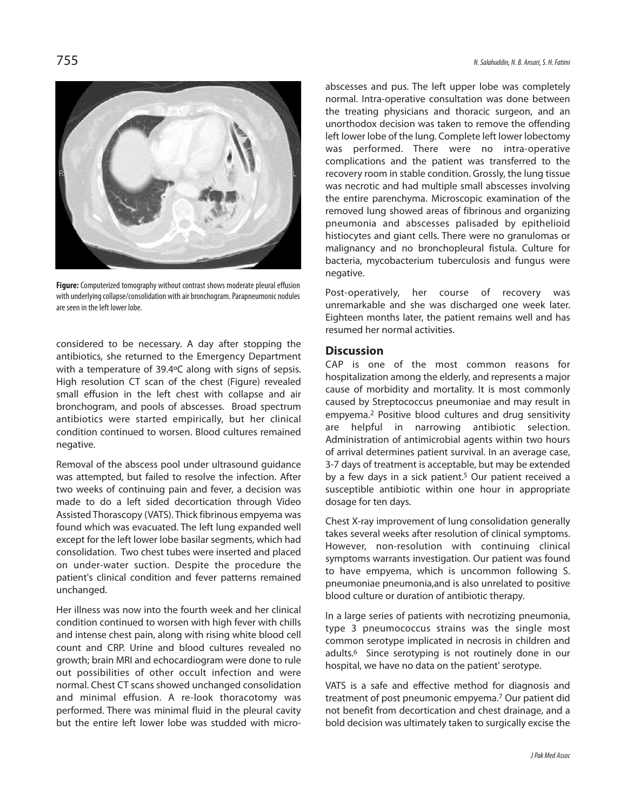

Figure: Computerized tomography without contrast shows moderate pleural effusion with underlying collapse/consolidation with air bronchogram. Parapneumonic nodules are seen in the left lower lobe.

considered to be necessary. A day after stopping the antibiotics, she returned to the Emergency Department with a temperature of 39.4ºC along with signs of sepsis. High resolution CT scan of the chest (Figure) revealed small effusion in the left chest with collapse and air bronchogram, and pools of abscesses. Broad spectrum antibiotics were started empirically, but her clinical condition continued to worsen. Blood cultures remained negative.

Removal of the abscess pool under ultrasound guidance was attempted, but failed to resolve the infection. After two weeks of continuing pain and fever, a decision was made to do a left sided decortication through Video Assisted Thorascopy (VATS). Thick fibrinous empyema was found which was evacuated. The left lung expanded well except for the left lower lobe basilar segments, which had consolidation. Two chest tubes were inserted and placed on under-water suction. Despite the procedure the patient's clinical condition and fever patterns remained unchanged.

Her illness was now into the fourth week and her clinical condition continued to worsen with high fever with chills and intense chest pain, along with rising white blood cell count and CRP. Urine and blood cultures revealed no growth; brain MRI and echocardiogram were done to rule out possibilities of other occult infection and were normal. Chest CT scans showed unchanged consolidation and minimal effusion. A re-look thoracotomy was performed. There was minimal fluid in the pleural cavity but the entire left lower lobe was studded with microabscesses and pus. The left upper lobe was completely normal. Intra-operative consultation was done between the treating physicians and thoracic surgeon, and an unorthodox decision was taken to remove the offending left lower lobe of the lung. Complete left lower lobectomy was performed. There were no intra-operative complications and the patient was transferred to the recovery room in stable condition. Grossly, the lung tissue was necrotic and had multiple small abscesses involving the entire parenchyma. Microscopic examination of the removed lung showed areas of fibrinous and organizing pneumonia and abscesses palisaded by epithelioid histiocytes and giant cells. There were no granulomas or malignancy and no bronchopleural fistula. Culture for bacteria, mycobacterium tuberculosis and fungus were negative.

Post-operatively, her course of recovery was unremarkable and she was discharged one week later. Eighteen months later, the patient remains well and has resumed her normal activities.

#### **Discussion**

CAP is one of the most common reasons for hospitalization among the elderly, and represents a major cause of morbidity and mortality. It is most commonly caused by Streptococcus pneumoniae and may result in empyema. <sup>2</sup> Positive blood cultures and drug sensitivity are helpful in narrowing antibiotic selection. Administration of antimicrobial agents within two hours of arrival determines patient survival. In an average case, 3-7 days of treatment is acceptable, but may be extended by a few days in a sick patient. <sup>5</sup> Our patient received a susceptible antibiotic within one hour in appropriate dosage for ten days.

Chest X-ray improvement of lung consolidation generally takes several weeks after resolution of clinical symptoms. However, non-resolution with continuing clinical symptoms warrants investigation. Our patient was found to have empyema, which is uncommon following S. pneumoniae pneumonia,and is also unrelated to positive blood culture or duration of antibiotic therapy.

In a large series of patients with necrotizing pneumonia, type 3 pneumococcus strains was the single most common serotype implicated in necrosis in children and adults. <sup>6</sup> Since serotyping is not routinely done in our hospital, we have no data on the patient' serotype.

VATS is a safe and effective method for diagnosis and treatment of post pneumonic empyema. <sup>7</sup> Our patient did not benefit from decortication and chest drainage, and a bold decision was ultimately taken to surgically excise the